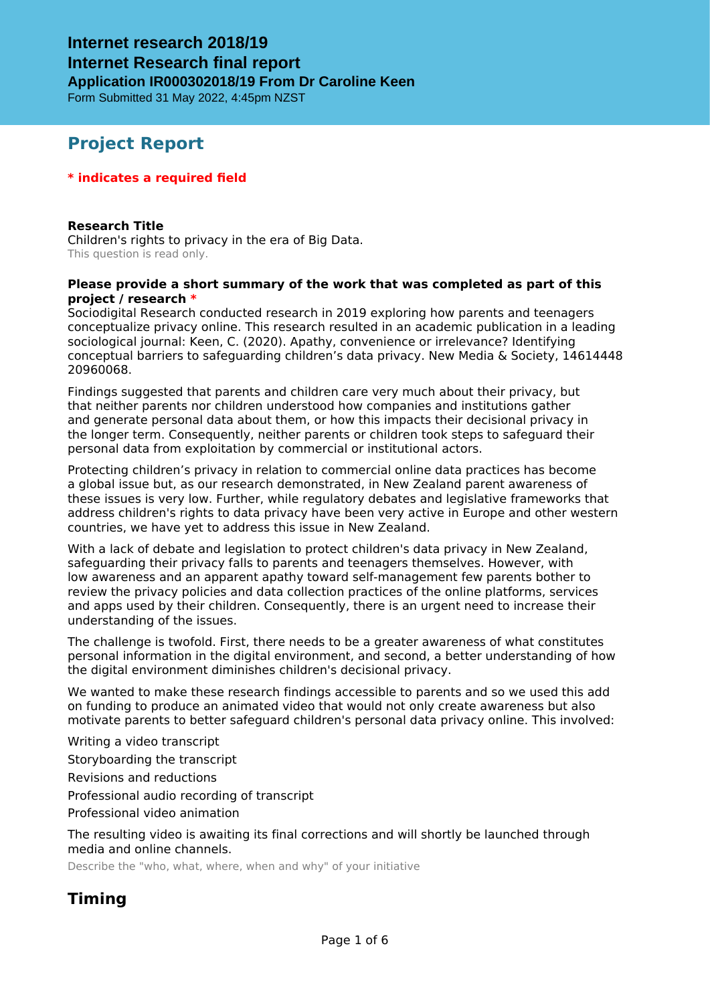Form Submitted 31 May 2022, 4:45pm NZST

## **Project Report**

#### **\* indicates a required field**

**Research Title** Children's rights to privacy in the era of Big Data. This question is read only.

#### **Please provide a short summary of the work that was completed as part of this project / research \***

Sociodigital Research conducted research in 2019 exploring how parents and teenagers conceptualize privacy online. This research resulted in an academic publication in a leading sociological journal: Keen, C. (2020). Apathy, convenience or irrelevance? Identifying conceptual barriers to safeguarding children's data privacy. New Media & Society, 14614448 20960068.

Findings suggested that parents and children care very much about their privacy, but that neither parents nor children understood how companies and institutions gather and generate personal data about them, or how this impacts their decisional privacy in the longer term. Consequently, neither parents or children took steps to safeguard their personal data from exploitation by commercial or institutional actors.

Protecting children's privacy in relation to commercial online data practices has become a global issue but, as our research demonstrated, in New Zealand parent awareness of these issues is very low. Further, while regulatory debates and legislative frameworks that address children's rights to data privacy have been very active in Europe and other western countries, we have yet to address this issue in New Zealand.

With a lack of debate and legislation to protect children's data privacy in New Zealand, safeguarding their privacy falls to parents and teenagers themselves. However, with low awareness and an apparent apathy toward self-management few parents bother to review the privacy policies and data collection practices of the online platforms, services and apps used by their children. Consequently, there is an urgent need to increase their understanding of the issues.

The challenge is twofold. First, there needs to be a greater awareness of what constitutes personal information in the digital environment, and second, a better understanding of how the digital environment diminishes children's decisional privacy.

We wanted to make these research findings accessible to parents and so we used this add on funding to produce an animated video that would not only create awareness but also motivate parents to better safeguard children's personal data privacy online. This involved:

Writing a video transcript

Storyboarding the transcript

Revisions and reductions

Professional audio recording of transcript

Professional video animation

The resulting video is awaiting its final corrections and will shortly be launched through media and online channels.

Describe the "who, what, where, when and why" of your initiative

## **Timing**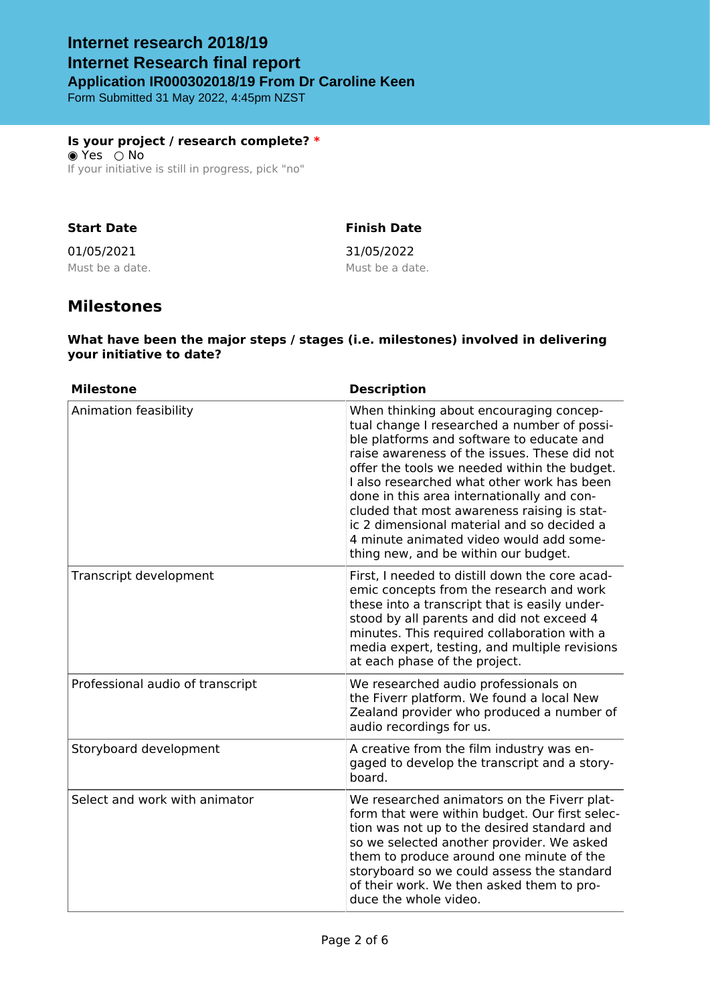Form Submitted 31 May 2022, 4:45pm NZST

**Is your project / research complete? \*** ◉ Yes ○ No If your initiative is still in progress, pick "no"

#### **Start Date**

### **Finish Date**

01/05/2021 Must be a date. 31/05/2022 Must be a date.

## **Milestones**

#### **What have been the major steps / stages (i.e. milestones) involved in delivering your initiative to date?**

| <b>Milestone</b>                 | <b>Description</b>                                                                                                                                                                                                                                                                                                                                                                                                                                                                                              |
|----------------------------------|-----------------------------------------------------------------------------------------------------------------------------------------------------------------------------------------------------------------------------------------------------------------------------------------------------------------------------------------------------------------------------------------------------------------------------------------------------------------------------------------------------------------|
| Animation feasibility            | When thinking about encouraging concep-<br>tual change I researched a number of possi-<br>ble platforms and software to educate and<br>raise awareness of the issues. These did not<br>offer the tools we needed within the budget.<br>I also researched what other work has been<br>done in this area internationally and con-<br>cluded that most awareness raising is stat-<br>ic 2 dimensional material and so decided a<br>4 minute animated video would add some-<br>thing new, and be within our budget. |
| Transcript development           | First, I needed to distill down the core acad-<br>emic concepts from the research and work<br>these into a transcript that is easily under-<br>stood by all parents and did not exceed 4<br>minutes. This required collaboration with a<br>media expert, testing, and multiple revisions<br>at each phase of the project.                                                                                                                                                                                       |
| Professional audio of transcript | We researched audio professionals on<br>the Fiverr platform. We found a local New<br>Zealand provider who produced a number of<br>audio recordings for us.                                                                                                                                                                                                                                                                                                                                                      |
| Storyboard development           | A creative from the film industry was en-<br>gaged to develop the transcript and a story-<br>board.                                                                                                                                                                                                                                                                                                                                                                                                             |
| Select and work with animator    | We researched animators on the Fiverr plat-<br>form that were within budget. Our first selec-<br>tion was not up to the desired standard and<br>so we selected another provider. We asked<br>them to produce around one minute of the<br>storyboard so we could assess the standard<br>of their work. We then asked them to pro-<br>duce the whole video.                                                                                                                                                       |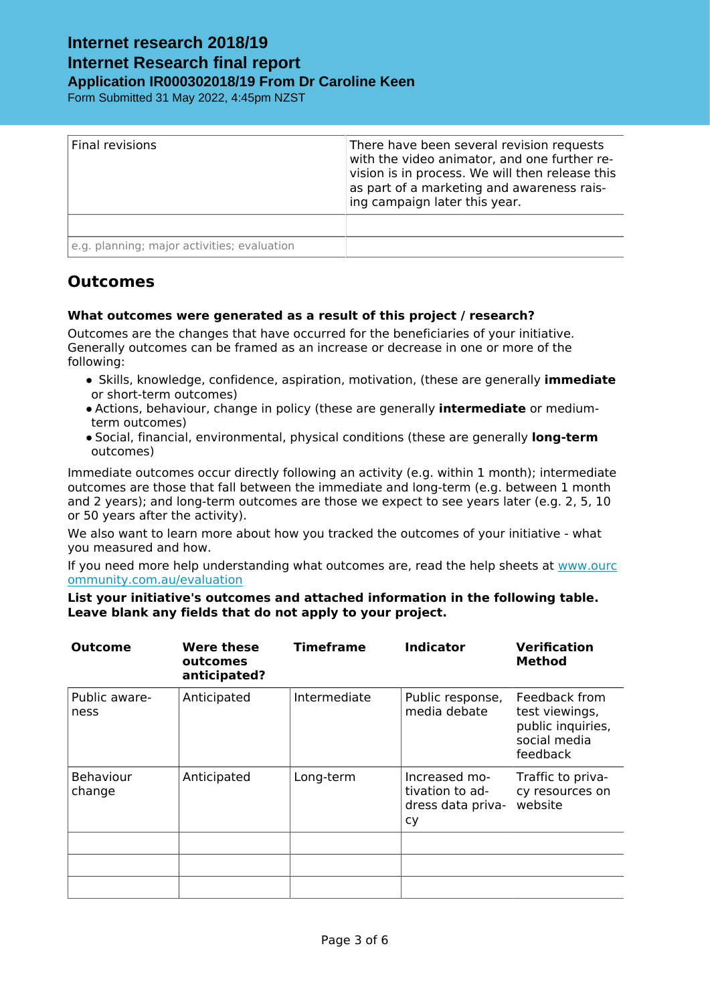Form Submitted 31 May 2022, 4:45pm NZST

| Final revisions                             | There have been several revision requests<br>with the video animator, and one further re-<br>vision is in process. We will then release this<br>as part of a marketing and awareness rais-<br>ing campaign later this year. |
|---------------------------------------------|-----------------------------------------------------------------------------------------------------------------------------------------------------------------------------------------------------------------------------|
|                                             |                                                                                                                                                                                                                             |
| e.g. planning; major activities; evaluation |                                                                                                                                                                                                                             |

## **Outcomes**

#### **What outcomes were generated as a result of this project / research?**

Outcomes are the changes that have occurred for the beneficiaries of your initiative. Generally outcomes can be framed as an increase or decrease in one or more of the following:

- **•** Skills, knowledge, confidence, aspiration, motivation, (these are generally **immediate** or short-term outcomes)
- **•** Actions, behaviour, change in policy (these are generally **intermediate** or mediumterm outcomes)
- **•** Social, financial, environmental, physical conditions (these are generally **long-term** outcomes)

Immediate outcomes occur directly following an activity (e.g. within 1 month); intermediate outcomes are those that fall between the immediate and long-term (e.g. between 1 month and 2 years); and long-term outcomes are those we expect to see years later (e.g. 2, 5, 10 or 50 years after the activity).

We also want to learn more about how you tracked the outcomes of your initiative - what you measured and how.

If you need more help understanding what outcomes are, read the help sheets at [www.ourc](htttp://www.ourcommunity.com.au/evaluation) [ommunity.com.au/evaluation](htttp://www.ourcommunity.com.au/evaluation)

**List your initiative's outcomes and attached information in the following table. Leave blank any fields that do not apply to your project.**

| <b>Outcome</b>        | Were these<br>outcomes<br>anticipated? | <b>Timeframe</b> | <b>Indicator</b>                                            | <b>Verification</b><br><b>Method</b>                                             |
|-----------------------|----------------------------------------|------------------|-------------------------------------------------------------|----------------------------------------------------------------------------------|
| Public aware-<br>ness | Anticipated                            | Intermediate     | Public response,<br>media debate                            | Feedback from<br>test viewings,<br>public inquiries,<br>social media<br>feedback |
| Behaviour<br>change   | Anticipated                            | Long-term        | Increased mo-<br>tivation to ad-<br>dress data priva-<br>cy | Traffic to priva-<br>cy resources on<br>website                                  |
|                       |                                        |                  |                                                             |                                                                                  |
|                       |                                        |                  |                                                             |                                                                                  |
|                       |                                        |                  |                                                             |                                                                                  |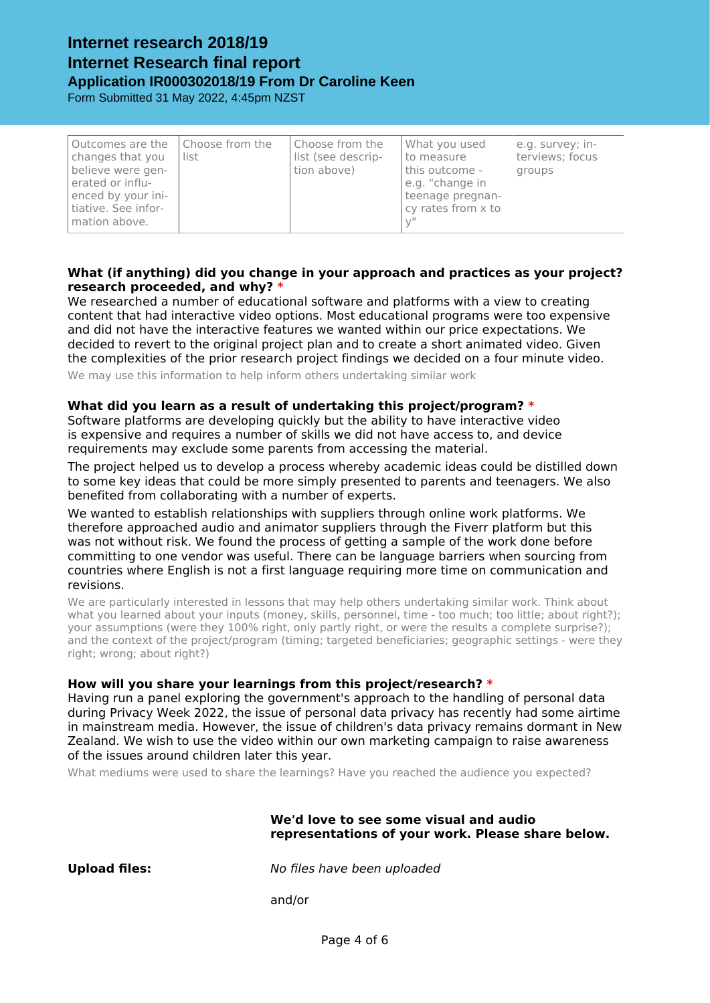Form Submitted 31 May 2022, 4:45pm NZST

| Outcomes are the<br>changes that you<br>believe were gen-<br>erated or influ-<br>enced by your ini-<br>tiative. See infor-<br>mation above. | Choose from the<br>list | Choose from the<br>list (see descrip-<br>tion above) | What you used<br>to measure<br>this outcome -<br>e.g. "change in<br>teenage pregnan-<br>cy rates from x to | e.g. survey; in-<br>terviews; focus<br>groups |
|---------------------------------------------------------------------------------------------------------------------------------------------|-------------------------|------------------------------------------------------|------------------------------------------------------------------------------------------------------------|-----------------------------------------------|
|---------------------------------------------------------------------------------------------------------------------------------------------|-------------------------|------------------------------------------------------|------------------------------------------------------------------------------------------------------------|-----------------------------------------------|

#### **What (if anything) did you change in your approach and practices as your project? research proceeded, and why? \***

We researched a number of educational software and platforms with a view to creating content that had interactive video options. Most educational programs were too expensive and did not have the interactive features we wanted within our price expectations. We decided to revert to the original project plan and to create a short animated video. Given the complexities of the prior research project findings we decided on a four minute video.

We may use this information to help inform others undertaking similar work

#### **What did you learn as a result of undertaking this project/program? \***

Software platforms are developing quickly but the ability to have interactive video is expensive and requires a number of skills we did not have access to, and device requirements may exclude some parents from accessing the material.

The project helped us to develop a process whereby academic ideas could be distilled down to some key ideas that could be more simply presented to parents and teenagers. We also benefited from collaborating with a number of experts.

We wanted to establish relationships with suppliers through online work platforms. We therefore approached audio and animator suppliers through the Fiverr platform but this was not without risk. We found the process of getting a sample of the work done before committing to one vendor was useful. There can be language barriers when sourcing from countries where English is not a first language requiring more time on communication and revisions.

We are particularly interested in lessons that may help others undertaking similar work. Think about what you learned about your inputs (money, skills, personnel, time - too much; too little; about right?); your assumptions (were they 100% right, only partly right, or were the results a complete surprise?); and the context of the project/program (timing; targeted beneficiaries; geographic settings - were they right; wrong; about right?)

#### **How will you share your learnings from this project/research? \***

Having run a panel exploring the government's approach to the handling of personal data during Privacy Week 2022, the issue of personal data privacy has recently had some airtime in mainstream media. However, the issue of children's data privacy remains dormant in New Zealand. We wish to use the video within our own marketing campaign to raise awareness of the issues around children later this year.

What mediums were used to share the learnings? Have you reached the audience you expected?

#### **We'd love to see some visual and audio representations of your work. Please share below.**

**Upload files:** *No files have been uploaded*

and/or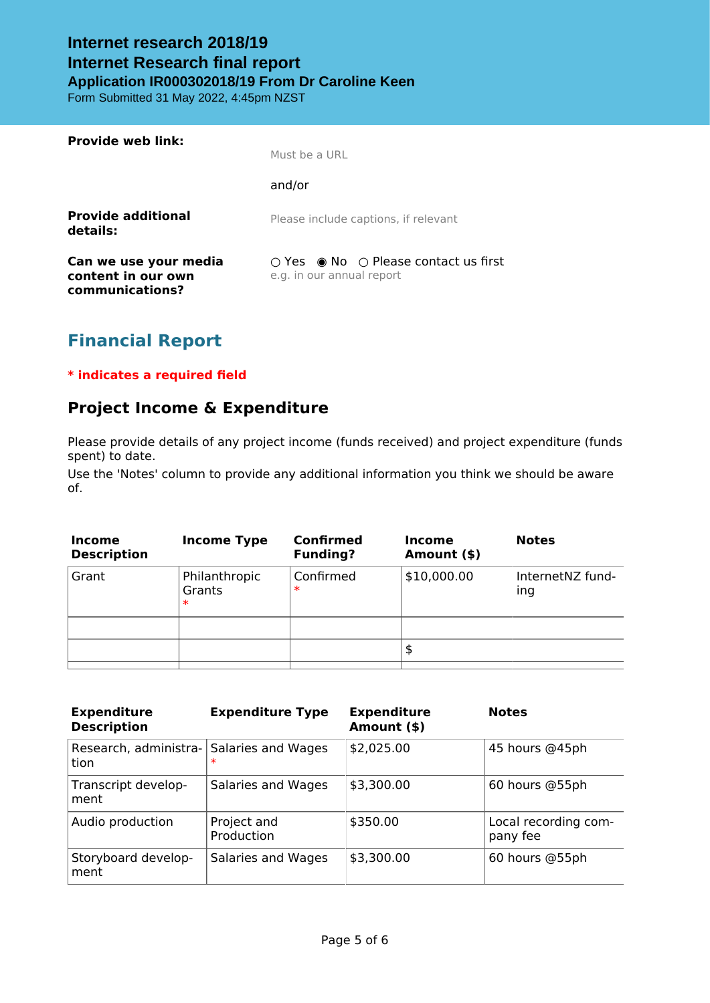Form Submitted 31 May 2022, 4:45pm NZST

| <b>Provide web link:</b>                                       | Must be a URI                                                                                |
|----------------------------------------------------------------|----------------------------------------------------------------------------------------------|
|                                                                | and/or                                                                                       |
| <b>Provide additional</b><br>details:                          | Please include captions, if relevant                                                         |
| Can we use your media<br>content in our own<br>communications? | $\bigcirc$ Yes $\bigcirc$ No $\bigcirc$ Please contact us first<br>e.g. in our annual report |

# **Financial Report**

#### **\* indicates a required field**

## **Project Income & Expenditure**

Please provide details of any project income (funds received) and project expenditure (funds spent) to date.

Use the 'Notes' column to provide any additional information you think we should be aware of.

| Income<br><b>Description</b> | <b>Income Type</b>                | <b>Confirmed</b><br><b>Funding?</b> | <b>Income</b><br>Amount (\$) | <b>Notes</b>            |
|------------------------------|-----------------------------------|-------------------------------------|------------------------------|-------------------------|
| Grant                        | Philanthropic<br>Grants<br>$\ast$ | Confirmed<br>$\ast$                 | \$10,000.00                  | InternetNZ fund-<br>ing |
|                              |                                   |                                     |                              |                         |
|                              |                                   |                                     | \$                           |                         |
|                              |                                   |                                     |                              |                         |

| <b>Expenditure</b><br><b>Description</b> | <b>Expenditure Type</b>      | <b>Expenditure</b><br>Amount (\$) | <b>Notes</b>                     |
|------------------------------------------|------------------------------|-----------------------------------|----------------------------------|
| Research, administra-<br>tion            | Salaries and Wages<br>$\ast$ | \$2,025.00                        | 45 hours @45ph                   |
| Transcript develop-<br>ment              | Salaries and Wages           | \$3,300.00                        | 60 hours @55ph                   |
| Audio production                         | Project and<br>Production    | \$350.00                          | Local recording com-<br>pany fee |
| Storyboard develop-<br>ment              | Salaries and Wages           | \$3,300.00                        | 60 hours @55ph                   |